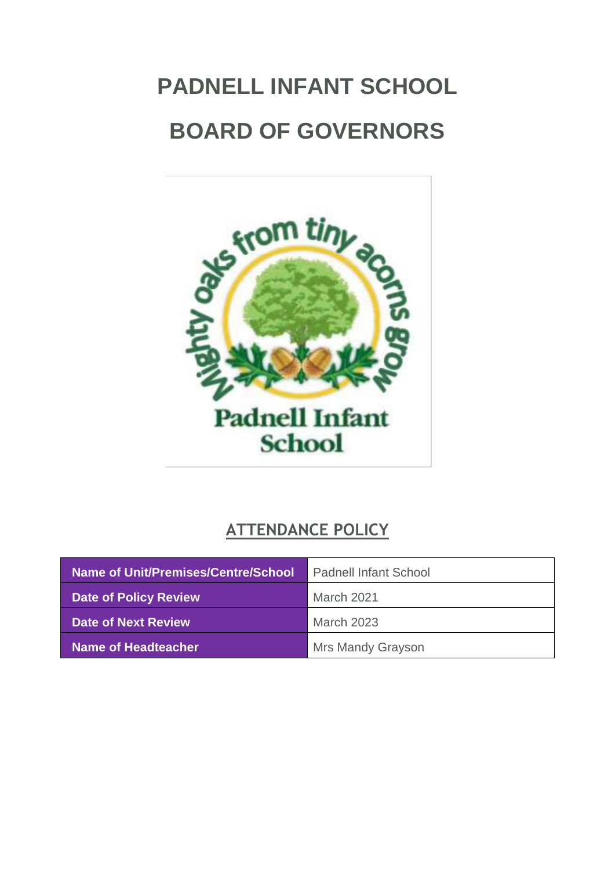# <span id="page-0-0"></span>**PADNELL INFANT SCHOOL BOARD OF GOVERNORS**



## **ATTENDANCE POLICY**

| Name of Unit/Premises/Centre/School | <b>Padnell Infant School</b> |
|-------------------------------------|------------------------------|
| <b>Date of Policy Review</b>        | March 2021                   |
| Date of Next Review                 | <b>March 2023</b>            |
| Name of Headteacher                 | Mrs Mandy Grayson            |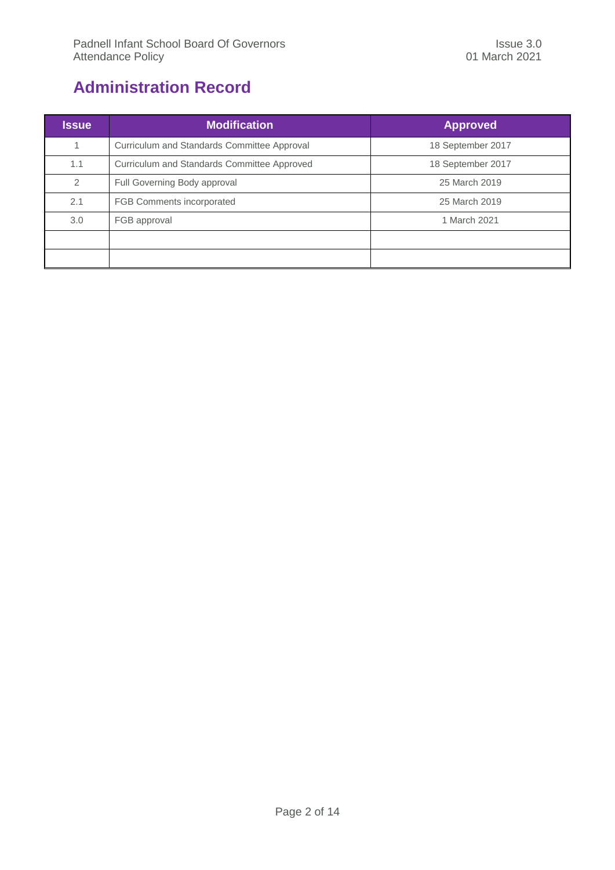## <span id="page-1-0"></span>**Administration Record**

| <b>Issue</b>  | <b>Modification</b>                         | <b>Approved</b>   |
|---------------|---------------------------------------------|-------------------|
|               | Curriculum and Standards Committee Approval | 18 September 2017 |
| 1.1           | Curriculum and Standards Committee Approved | 18 September 2017 |
| $\mathcal{P}$ | Full Governing Body approval                | 25 March 2019     |
| 2.1           | FGB Comments incorporated                   | 25 March 2019     |
| 3.0           | FGB approval                                | 1 March 2021      |
|               |                                             |                   |
|               |                                             |                   |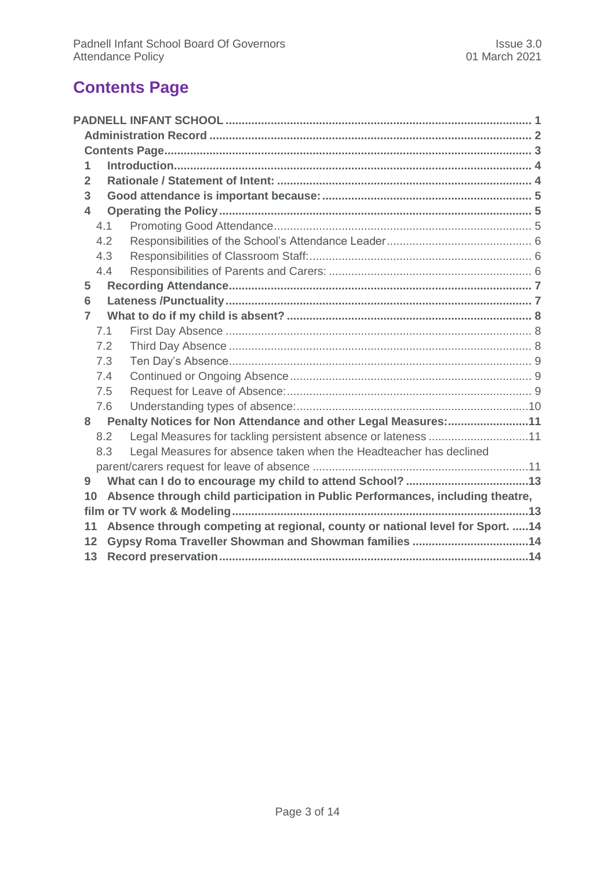## <span id="page-2-0"></span>**Contents Page**

| 1                                                                                    |     |                                                                                |  |
|--------------------------------------------------------------------------------------|-----|--------------------------------------------------------------------------------|--|
| $\overline{2}$                                                                       |     |                                                                                |  |
| 3                                                                                    |     |                                                                                |  |
| 4                                                                                    |     |                                                                                |  |
|                                                                                      | 4.1 |                                                                                |  |
|                                                                                      | 4.2 |                                                                                |  |
|                                                                                      | 4.3 |                                                                                |  |
|                                                                                      | 4.4 |                                                                                |  |
| 5                                                                                    |     |                                                                                |  |
| 6                                                                                    |     |                                                                                |  |
| $\overline{7}$                                                                       |     |                                                                                |  |
|                                                                                      | 7.1 |                                                                                |  |
|                                                                                      | 7.2 |                                                                                |  |
|                                                                                      | 7.3 |                                                                                |  |
|                                                                                      | 7.4 |                                                                                |  |
|                                                                                      | 7.5 |                                                                                |  |
|                                                                                      | 7.6 |                                                                                |  |
|                                                                                      |     | 8 Penalty Notices for Non Attendance and other Legal Measures:11               |  |
|                                                                                      | 8.2 | Legal Measures for tackling persistent absence or lateness 11                  |  |
|                                                                                      | 8.3 | Legal Measures for absence taken when the Headteacher has declined             |  |
|                                                                                      |     |                                                                                |  |
| 9                                                                                    |     |                                                                                |  |
| 10                                                                                   |     | Absence through child participation in Public Performances, including theatre, |  |
|                                                                                      |     |                                                                                |  |
| Absence through competing at regional, county or national level for Sport.  14<br>11 |     |                                                                                |  |
| Gypsy Roma Traveller Showman and Showman families 14<br>12                           |     |                                                                                |  |
|                                                                                      | 13  |                                                                                |  |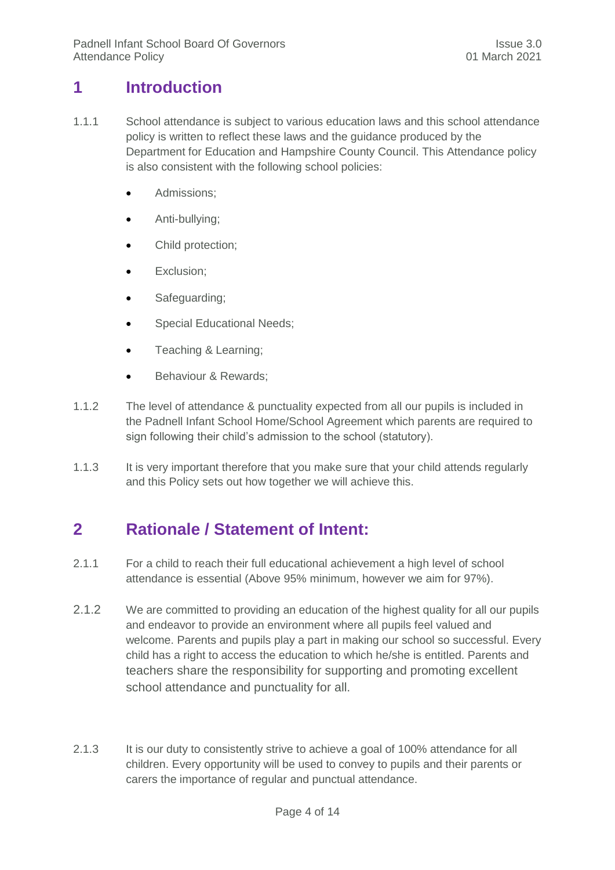## <span id="page-3-0"></span>**1 Introduction**

- 1.1.1 School attendance is subject to various education laws and this school attendance policy is written to reflect these laws and the guidance produced by the Department for Education and Hampshire County Council. This Attendance policy is also consistent with the following school policies:
	- **Admissions**;
	- Anti-bullying;
	- Child protection;
	- Exclusion;
	- Safeguarding;
	- Special Educational Needs;
	- Teaching & Learning;
	- **Behaviour & Rewards:**
- 1.1.2 The level of attendance & punctuality expected from all our pupils is included in the Padnell Infant School Home/School Agreement which parents are required to sign following their child's admission to the school (statutory).
- <span id="page-3-1"></span>1.1.3 It is very important therefore that you make sure that your child attends regularly and this Policy sets out how together we will achieve this.

## **2 Rationale / Statement of Intent:**

- 2.1.1 For a child to reach their full educational achievement a high level of school attendance is essential (Above 95% minimum, however we aim for 97%).
- 2.1.2 We are committed to providing an education of the highest quality for all our pupils and endeavor to provide an environment where all pupils feel valued and welcome. Parents and pupils play a part in making our school so successful. Every child has a right to access the education to which he/she is entitled. Parents and teachers share the responsibility for supporting and promoting excellent school attendance and punctuality for all.
- 2.1.3 It is our duty to consistently strive to achieve a goal of 100% attendance for all children. Every opportunity will be used to convey to pupils and their parents or carers the importance of regular and punctual attendance.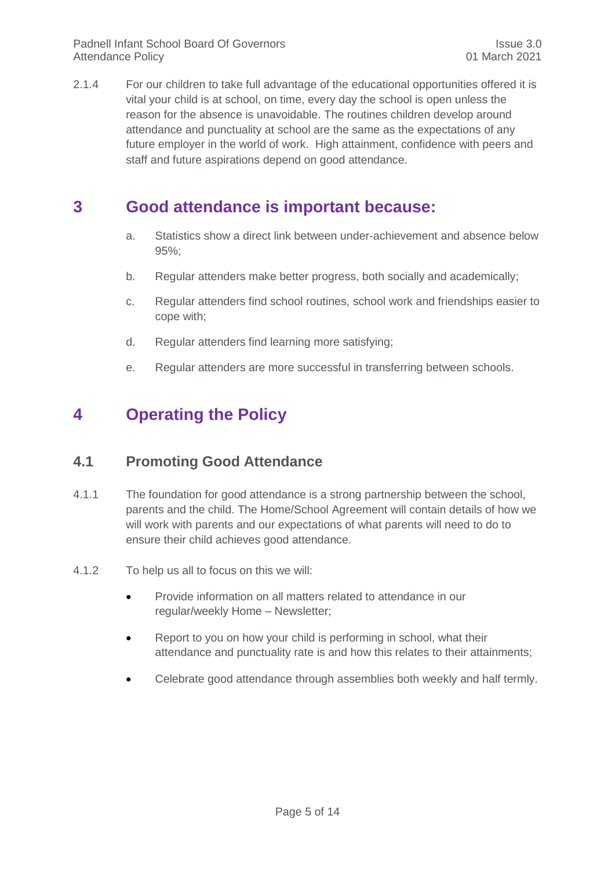2.1.4 For our children to take full advantage of the educational opportunities offered it is vital your child is at school, on time, every day the school is open unless the reason for the absence is unavoidable. The routines children develop around attendance and punctuality at school are the same as the expectations of any future employer in the world of work. High attainment, confidence with peers and staff and future aspirations depend on good attendance.

### <span id="page-4-0"></span>**3 Good attendance is important because:**

- a. Statistics show a direct link between under-achievement and absence below 95%;
- b. Regular attenders make better progress, both socially and academically;
- c. Regular attenders find school routines, school work and friendships easier to cope with;
- d. Regular attenders find learning more satisfying;
- e. Regular attenders are more successful in transferring between schools.

## <span id="page-4-2"></span><span id="page-4-1"></span>**4 Operating the Policy**

#### **4.1 Promoting Good Attendance**

- 4.1.1 The foundation for good attendance is a strong partnership between the school, parents and the child. The Home/School Agreement will contain details of how we will work with parents and our expectations of what parents will need to do to ensure their child achieves good attendance.
- 4.1.2 To help us all to focus on this we will:
	- Provide information on all matters related to attendance in our regular/weekly Home – Newsletter;
	- Report to you on how your child is performing in school, what their attendance and punctuality rate is and how this relates to their attainments;
	- Celebrate good attendance through assemblies both weekly and half termly.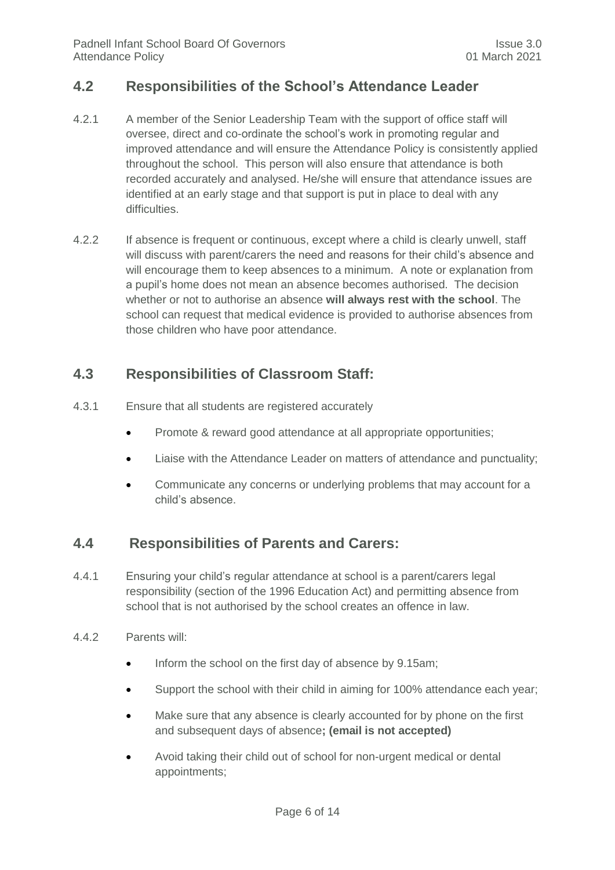#### <span id="page-5-0"></span>**4.2 Responsibilities of the School's Attendance Leader**

- 4.2.1 A member of the Senior Leadership Team with the support of office staff will oversee, direct and co-ordinate the school's work in promoting regular and improved attendance and will ensure the Attendance Policy is consistently applied throughout the school. This person will also ensure that attendance is both recorded accurately and analysed. He/she will ensure that attendance issues are identified at an early stage and that support is put in place to deal with any difficulties.
- 4.2.2 If absence is frequent or continuous, except where a child is clearly unwell, staff will discuss with parent/carers the need and reasons for their child's absence and will encourage them to keep absences to a minimum. A note or explanation from a pupil's home does not mean an absence becomes authorised. The decision whether or not to authorise an absence **will always rest with the school**. The school can request that medical evidence is provided to authorise absences from those children who have poor attendance.

#### <span id="page-5-1"></span>**4.3 Responsibilities of Classroom Staff:**

- 4.3.1 Ensure that all students are registered accurately
	- Promote & reward good attendance at all appropriate opportunities;
	- Liaise with the Attendance Leader on matters of attendance and punctuality;
	- Communicate any concerns or underlying problems that may account for a child's absence.

#### <span id="page-5-2"></span>**4.4 Responsibilities of Parents and Carers:**

- 4.4.1 Ensuring your child's regular attendance at school is a parent/carers legal responsibility (section of the 1996 Education Act) and permitting absence from school that is not authorised by the school creates an offence in law.
- 4.4.2 Parents will:
	- Inform the school on the first day of absence by 9.15am;
	- Support the school with their child in aiming for 100% attendance each year;
	- Make sure that any absence is clearly accounted for by phone on the first and subsequent days of absence**; (email is not accepted)**
	- Avoid taking their child out of school for non-urgent medical or dental appointments;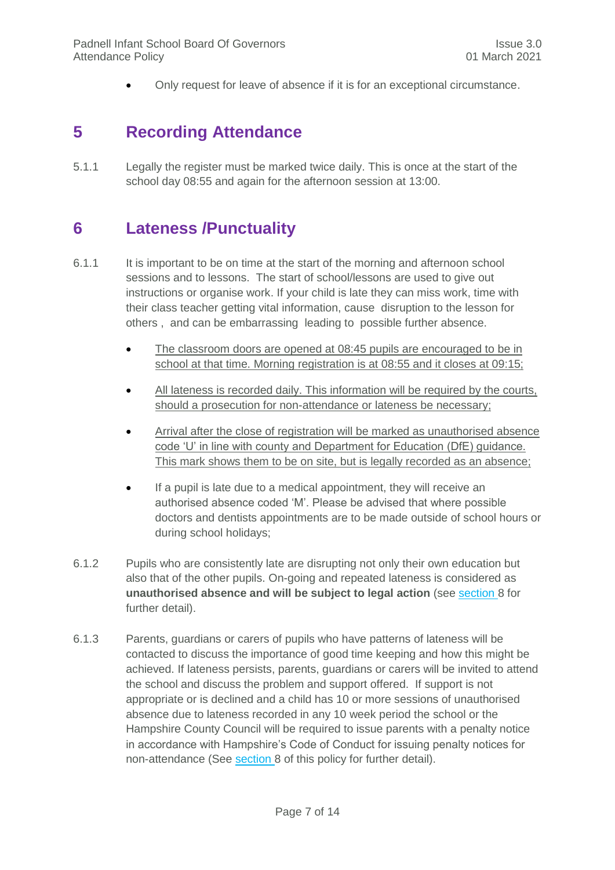Only request for leave of absence if it is for an exceptional circumstance.

## <span id="page-6-0"></span>**5 Recording Attendance**

5.1.1 Legally the register must be marked twice daily. This is once at the start of the school day 08:55 and again for the afternoon session at 13:00.

## <span id="page-6-1"></span>**6 Lateness /Punctuality**

- 6.1.1 It is important to be on time at the start of the morning and afternoon school sessions and to lessons. The start of school/lessons are used to give out instructions or organise work. If your child is late they can miss work, time with their class teacher getting vital information, cause disruption to the lesson for others , and can be embarrassing leading to possible further absence.
	- The classroom doors are opened at 08:45 pupils are encouraged to be in school at that time. Morning registration is at 08:55 and it closes at 09:15;
	- All lateness is recorded daily. This information will be required by the courts, should a prosecution for non-attendance or lateness be necessary;
	- Arrival after the close of registration will be marked as unauthorised absence code 'U' in line with county and Department for Education (DfE) guidance. This mark shows them to be on site, but is legally recorded as an absence;
	- If a pupil is late due to a medical appointment, they will receive an authorised absence coded 'M'. Please be advised that where possible doctors and dentists appointments are to be made outside of school hours or during school holidays;
- 6.1.2 Pupils who are consistently late are disrupting not only their own education but also that of the other pupils. On-going and repeated lateness is considered as **unauthorised absence and will be subject to legal action** (see section [8](#page-10-0) for further detail).
- 6.1.3 Parents, guardians or carers of pupils who have patterns of lateness will be contacted to discuss the importance of good time keeping and how this might be achieved. If lateness persists, parents, guardians or carers will be invited to attend the school and discuss the problem and support offered. If support is not appropriate or is declined and a child has 10 or more sessions of unauthorised absence due to lateness recorded in any 10 week period the school or the Hampshire County Council will be required to issue parents with a penalty notice in accordance with Hampshire's Code of Conduct for issuing penalty notices for non-attendance (See section [8](#page-10-0) of this policy for further detail).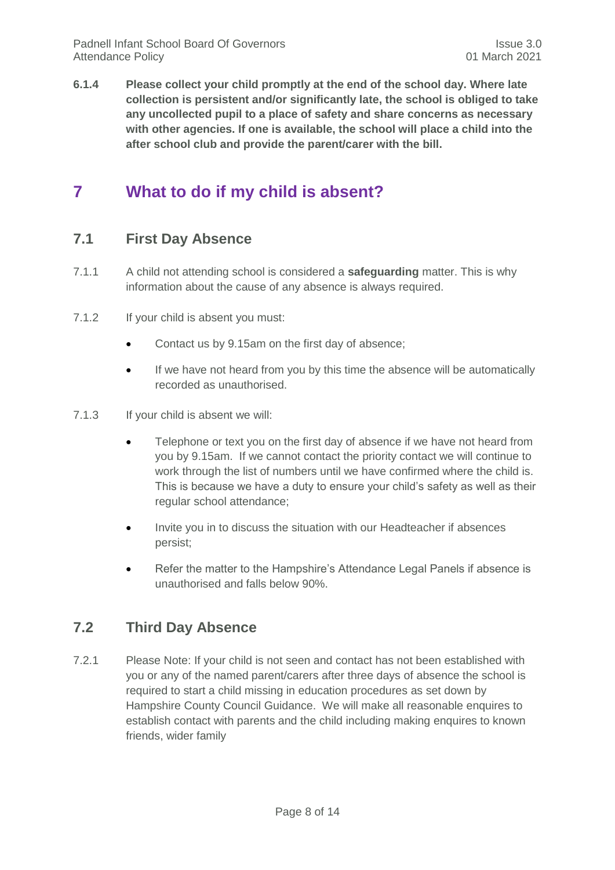**6.1.4 Please collect your child promptly at the end of the school day. Where late collection is persistent and/or significantly late, the school is obliged to take any uncollected pupil to a place of safety and share concerns as necessary with other agencies. If one is available, the school will place a child into the after school club and provide the parent/carer with the bill.** 

## <span id="page-7-1"></span><span id="page-7-0"></span>**7 What to do if my child is absent?**

#### **7.1 First Day Absence**

- 7.1.1 A child not attending school is considered a **safeguarding** matter. This is why information about the cause of any absence is always required.
- 7.1.2 If your child is absent you must:
	- Contact us by 9.15am on the first day of absence;
	- If we have not heard from you by this time the absence will be automatically recorded as unauthorised.
- 7.1.3 If your child is absent we will:
	- Telephone or text you on the first day of absence if we have not heard from you by 9.15am. If we cannot contact the priority contact we will continue to work through the list of numbers until we have confirmed where the child is. This is because we have a duty to ensure your child's safety as well as their regular school attendance;
	- Invite you in to discuss the situation with our Headteacher if absences persist;
	- Refer the matter to the Hampshire's Attendance Legal Panels if absence is unauthorised and falls below 90%.

#### <span id="page-7-2"></span>**7.2 Third Day Absence**

7.2.1 Please Note: If your child is not seen and contact has not been established with you or any of the named parent/carers after three days of absence the school is required to start a child missing in education procedures as set down by Hampshire County Council Guidance. We will make all reasonable enquires to establish contact with parents and the child including making enquires to known friends, wider family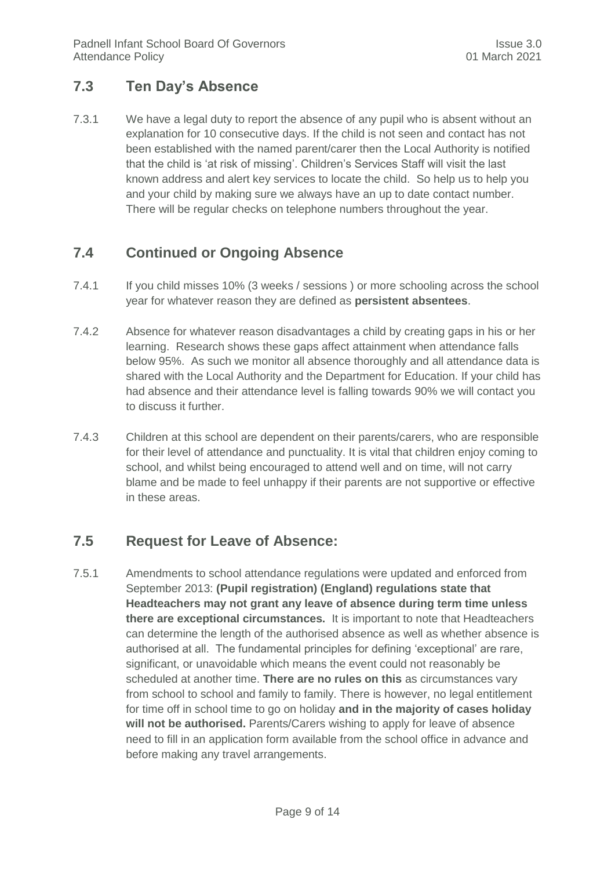#### <span id="page-8-0"></span>**7.3 Ten Day's Absence**

7.3.1 We have a legal duty to report the absence of any pupil who is absent without an explanation for 10 consecutive days. If the child is not seen and contact has not been established with the named parent/carer then the Local Authority is notified that the child is 'at risk of missing'. Children's Services Staff will visit the last known address and alert key services to locate the child. So help us to help you and your child by making sure we always have an up to date contact number. There will be regular checks on telephone numbers throughout the year.

#### <span id="page-8-1"></span>**7.4 Continued or Ongoing Absence**

- 7.4.1 If you child misses 10% (3 weeks / sessions ) or more schooling across the school year for whatever reason they are defined as **persistent absentees**.
- 7.4.2 Absence for whatever reason disadvantages a child by creating gaps in his or her learning. Research shows these gaps affect attainment when attendance falls below 95%. As such we monitor all absence thoroughly and all attendance data is shared with the Local Authority and the Department for Education. If your child has had absence and their attendance level is falling towards 90% we will contact you to discuss it further.
- 7.4.3 Children at this school are dependent on their parents/carers, who are responsible for their level of attendance and punctuality. It is vital that children enjoy coming to school, and whilst being encouraged to attend well and on time, will not carry blame and be made to feel unhappy if their parents are not supportive or effective in these areas.

#### <span id="page-8-2"></span>**7.5 Request for Leave of Absence:**

7.5.1 Amendments to school attendance regulations were updated and enforced from September 2013: **(Pupil registration) (England) regulations state that Headteachers may not grant any leave of absence during term time unless there are exceptional circumstances.** It is important to note that Headteachers can determine the length of the authorised absence as well as whether absence is authorised at all. The fundamental principles for defining 'exceptional' are rare, significant, or unavoidable which means the event could not reasonably be scheduled at another time. **There are no rules on this** as circumstances vary from school to school and family to family. There is however, no legal entitlement for time off in school time to go on holiday **and in the majority of cases holiday will not be authorised.** Parents/Carers wishing to apply for leave of absence need to fill in an application form available from the school office in advance and before making any travel arrangements.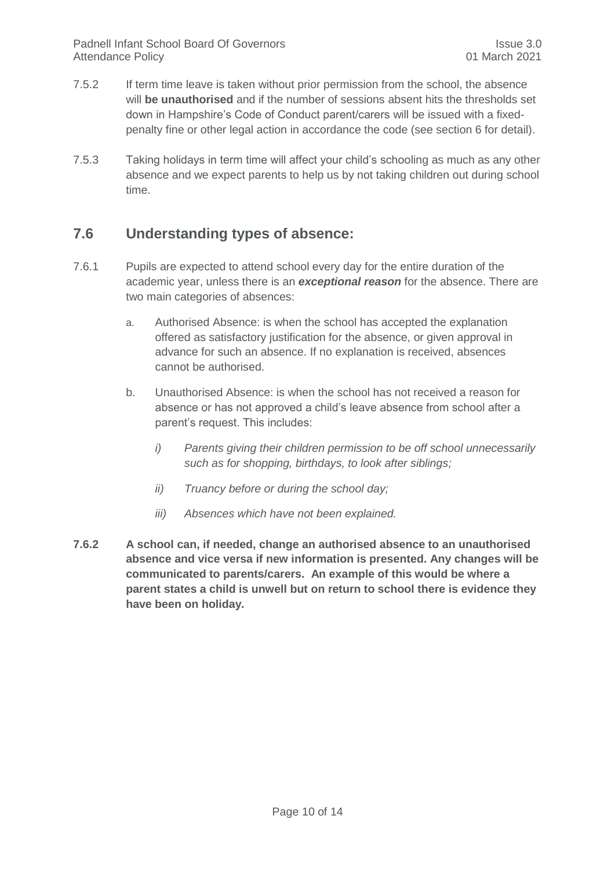- 7.5.2 If term time leave is taken without prior permission from the school, the absence will **be unauthorised** and if the number of sessions absent hits the thresholds set down in Hampshire's Code of Conduct parent/carers will be issued with a fixedpenalty fine or other legal action in accordance the code (see section 6 for detail).
- 7.5.3 Taking holidays in term time will affect your child's schooling as much as any other absence and we expect parents to help us by not taking children out during school time.

#### <span id="page-9-0"></span>**7.6 Understanding types of absence:**

- 7.6.1 Pupils are expected to attend school every day for the entire duration of the academic year, unless there is an *exceptional reason* for the absence. There are two main categories of absences:
	- a. Authorised Absence: is when the school has accepted the explanation offered as satisfactory justification for the absence, or given approval in advance for such an absence. If no explanation is received, absences cannot be authorised.
	- b. Unauthorised Absence: is when the school has not received a reason for absence or has not approved a child's leave absence from school after a parent's request. This includes:
		- *i) Parents giving their children permission to be off school unnecessarily such as for shopping, birthdays, to look after siblings;*
		- *ii) Truancy before or during the school day;*
		- *iii) Absences which have not been explained.*
- **7.6.2 A school can, if needed, change an authorised absence to an unauthorised absence and vice versa if new information is presented. Any changes will be communicated to parents/carers. An example of this would be where a parent states a child is unwell but on return to school there is evidence they have been on holiday.**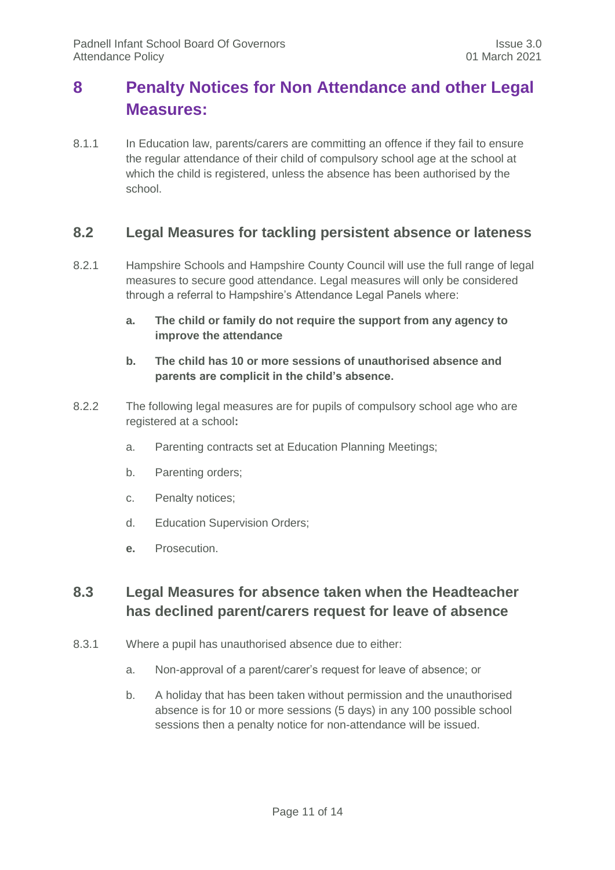## <span id="page-10-0"></span>**8 Penalty Notices for Non Attendance and other Legal Measures:**

8.1.1 In Education law, parents/carers are committing an offence if they fail to ensure the regular attendance of their child of compulsory school age at the school at which the child is registered, unless the absence has been authorised by the school.

#### <span id="page-10-1"></span>**8.2 Legal Measures for tackling persistent absence or lateness**

- 8.2.1 Hampshire Schools and Hampshire County Council will use the full range of legal measures to secure good attendance. Legal measures will only be considered through a referral to Hampshire's Attendance Legal Panels where:
	- **a. The child or family do not require the support from any agency to improve the attendance**
	- **b. The child has 10 or more sessions of unauthorised absence and parents are complicit in the child's absence.**
- 8.2.2 The following legal measures are for pupils of compulsory school age who are registered at a school**:**
	- a. Parenting contracts set at Education Planning Meetings;
	- b. Parenting orders;
	- c. Penalty notices;
	- d. Education Supervision Orders;
	- **e.** Prosecution.

#### <span id="page-10-2"></span>**8.3 Legal Measures for absence taken when the Headteacher has declined parent/carers request for leave of absence**

- 8.3.1 Where a pupil has unauthorised absence due to either:
	- a. Non-approval of a parent/carer's request for leave of absence; or
	- b. A holiday that has been taken without permission and the unauthorised absence is for 10 or more sessions (5 days) in any 100 possible school sessions then a penalty notice for non-attendance will be issued.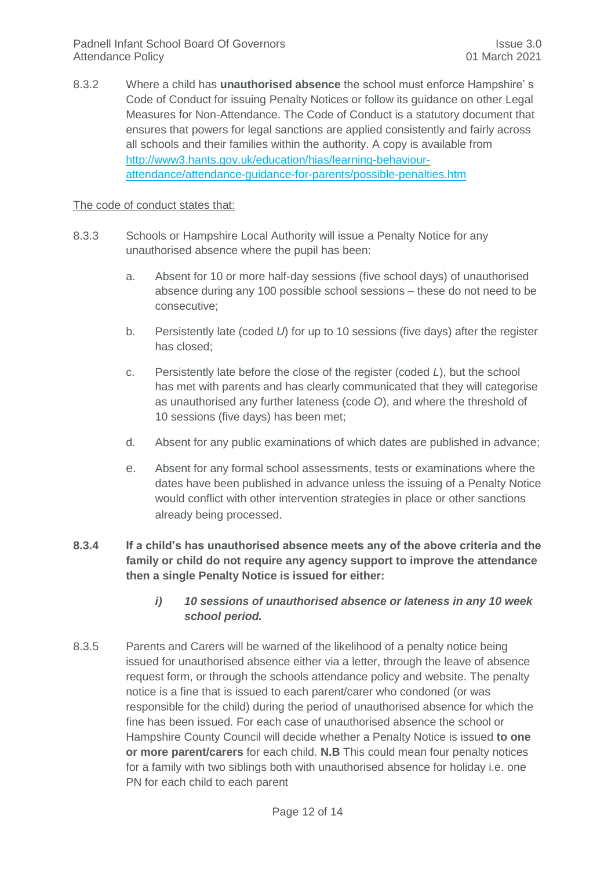8.3.2 Where a child has **unauthorised absence** the school must enforce Hampshire' s Code of Conduct for issuing Penalty Notices or follow its guidance on other Legal Measures for Non-Attendance. The Code of Conduct is a statutory document that ensures that powers for legal sanctions are applied consistently and fairly across all schools and their families within the authority. A copy is available from [http://www3.hants.gov.uk/education/hias/learning-behaviour](http://www3.hants.gov.uk/education/hias/learning-behaviour-attendance/attendance-guidance-for-parents/possible-penalties.htm)[attendance/attendance-guidance-for-parents/possible-penalties.htm](http://www3.hants.gov.uk/education/hias/learning-behaviour-attendance/attendance-guidance-for-parents/possible-penalties.htm)

#### The code of conduct states that:

- 8.3.3 Schools or Hampshire Local Authority will issue a Penalty Notice for any unauthorised absence where the pupil has been:
	- a. Absent for 10 or more half-day sessions (five school days) of unauthorised absence during any 100 possible school sessions – these do not need to be consecutive;
	- b. Persistently late (coded *U*) for up to 10 sessions (five days) after the register has closed;
	- c. Persistently late before the close of the register (coded *L*), but the school has met with parents and has clearly communicated that they will categorise as unauthorised any further lateness (code *O*), and where the threshold of 10 sessions (five days) has been met;
	- d. Absent for any public examinations of which dates are published in advance;
	- e. Absent for any formal school assessments, tests or examinations where the dates have been published in advance unless the issuing of a Penalty Notice would conflict with other intervention strategies in place or other sanctions already being processed.
- **8.3.4 If a child's has unauthorised absence meets any of the above criteria and the family or child do not require any agency support to improve the attendance then a single Penalty Notice is issued for either:**
	- *i) 10 sessions of unauthorised absence or lateness in any 10 week school period.*
- 8.3.5 Parents and Carers will be warned of the likelihood of a penalty notice being issued for unauthorised absence either via a letter, through the leave of absence request form, or through the schools attendance policy and website. The penalty notice is a fine that is issued to each parent/carer who condoned (or was responsible for the child) during the period of unauthorised absence for which the fine has been issued. For each case of unauthorised absence the school or Hampshire County Council will decide whether a Penalty Notice is issued **to one or more parent/carers** for each child. **N.B** This could mean four penalty notices for a family with two siblings both with unauthorised absence for holiday i.e. one PN for each child to each parent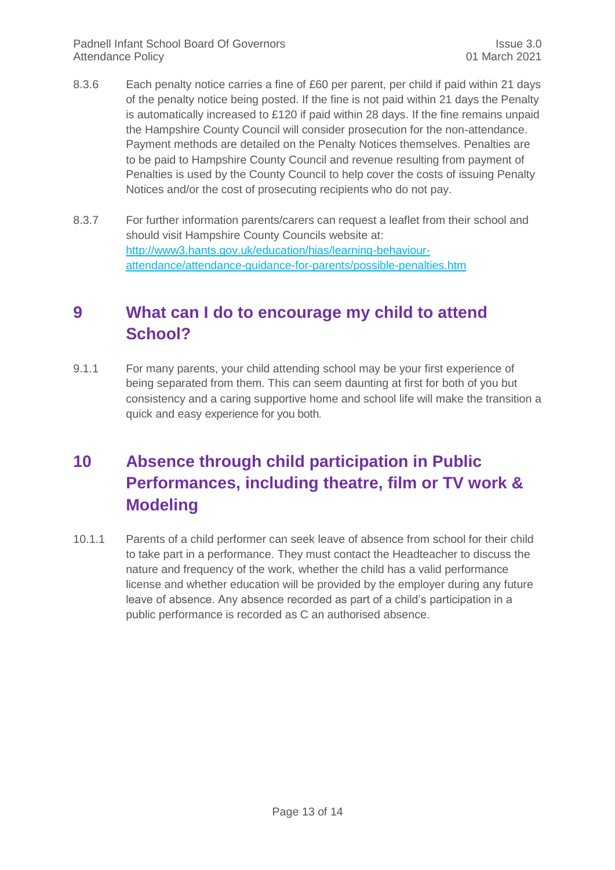- 8.3.6 Each penalty notice carries a fine of £60 per parent, per child if paid within 21 days of the penalty notice being posted. If the fine is not paid within 21 days the Penalty is automatically increased to £120 if paid within 28 days. If the fine remains unpaid the Hampshire County Council will consider prosecution for the non-attendance. Payment methods are detailed on the Penalty Notices themselves. Penalties are to be paid to Hampshire County Council and revenue resulting from payment of Penalties is used by the County Council to help cover the costs of issuing Penalty Notices and/or the cost of prosecuting recipients who do not pay.
- 8.3.7 For further information parents/carers can request a leaflet from their school and should visit Hampshire County Councils website at: [http://www3.hants.gov.uk/education/hias/learning-behaviour](http://www3.hants.gov.uk/education/hias/learning-behaviour-attendance/attendance-guidance-for-parents/possible-penalties.htm)[attendance/attendance-guidance-for-parents/possible-penalties.htm](http://www3.hants.gov.uk/education/hias/learning-behaviour-attendance/attendance-guidance-for-parents/possible-penalties.htm)

## <span id="page-12-0"></span>**9 What can I do to encourage my child to attend School?**

9.1.1 For many parents, your child attending school may be your first experience of being separated from them. This can seem daunting at first for both of you but consistency and a caring supportive home and school life will make the transition a quick and easy experience for you both.

## <span id="page-12-1"></span>**10 Absence through child participation in Public Performances, including theatre, film or TV work & Modeling**

10.1.1 Parents of a child performer can seek leave of absence from school for their child to take part in a performance. They must contact the Headteacher to discuss the nature and frequency of the work, whether the child has a valid performance license and whether education will be provided by the employer during any future leave of absence. Any absence recorded as part of a child's participation in a public performance is recorded as C an authorised absence.